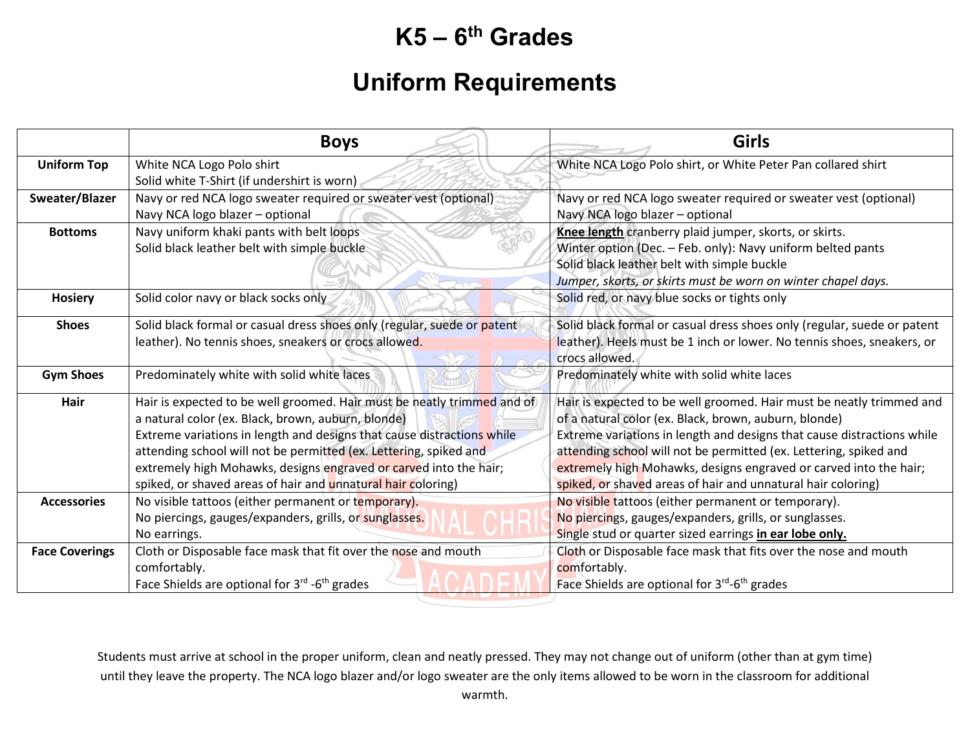## **K5 – 6th Grades**

## **Uniform Requirements**

|                       | <b>Boys</b>                                                                                                                                                                                                                                                                                                                                                                                                       | <b>Girls</b>                                                                                                                                                                                                                                                                                                                                                                                                      |
|-----------------------|-------------------------------------------------------------------------------------------------------------------------------------------------------------------------------------------------------------------------------------------------------------------------------------------------------------------------------------------------------------------------------------------------------------------|-------------------------------------------------------------------------------------------------------------------------------------------------------------------------------------------------------------------------------------------------------------------------------------------------------------------------------------------------------------------------------------------------------------------|
| <b>Uniform Top</b>    | White NCA Logo Polo shirt<br>Solid white T-Shirt (if undershirt is worn)                                                                                                                                                                                                                                                                                                                                          | White NCA Logo Polo shirt, or White Peter Pan collared shirt                                                                                                                                                                                                                                                                                                                                                      |
| Sweater/Blazer        | Navy or red NCA logo sweater required or sweater vest (optional)<br>Navy NCA logo blazer - optional                                                                                                                                                                                                                                                                                                               | Navy or red NCA logo sweater required or sweater vest (optional)<br>Navy NCA logo blazer - optional                                                                                                                                                                                                                                                                                                               |
| <b>Bottoms</b>        | Navy uniform khaki pants with belt loops<br>Solid black leather belt with simple buckle                                                                                                                                                                                                                                                                                                                           | Knee length cranberry plaid jumper, skorts, or skirts.<br>Winter option (Dec. - Feb. only): Navy uniform belted pants<br>Solid black leather belt with simple buckle<br>Jumper, skorts, or skirts must be worn on winter chapel days.                                                                                                                                                                             |
| <b>Hosiery</b>        | Solid color navy or black socks only                                                                                                                                                                                                                                                                                                                                                                              | Solid red, or navy blue socks or tights only                                                                                                                                                                                                                                                                                                                                                                      |
| <b>Shoes</b>          | Solid black formal or casual dress shoes only (regular, suede or patent<br>leather). No tennis shoes, sneakers or crocs allowed.                                                                                                                                                                                                                                                                                  | Solid black formal or casual dress shoes only (regular, suede or patent<br>leather). Heels must be 1 inch or lower. No tennis shoes, sneakers, or<br>crocs allowed.                                                                                                                                                                                                                                               |
| <b>Gym Shoes</b>      | Predominately white with solid white laces                                                                                                                                                                                                                                                                                                                                                                        | Predominately white with solid white laces                                                                                                                                                                                                                                                                                                                                                                        |
| Hair                  | Hair is expected to be well groomed. Hair must be neatly trimmed and of<br>a natural color (ex. Black, brown, auburn, blonde)<br>Extreme variations in length and designs that cause distractions while<br>attending school will not be permitted (ex. Lettering, spiked and<br>extremely high Mohawks, designs engraved or carved into the hair;<br>spiked, or shaved areas of hair and unnatural hair coloring) | Hair is expected to be well groomed. Hair must be neatly trimmed and<br>of a natural color (ex. Black, brown, auburn, blonde)<br>Extreme variations in length and designs that cause distractions while<br>attending school will not be permitted (ex. Lettering, spiked and<br>extremely high Mohawks, designs engraved or carved into the hair;<br>spiked, or shaved areas of hair and unnatural hair coloring) |
| <b>Accessories</b>    | No visible tattoos (either permanent or temporary).<br>No piercings, gauges/expanders, grills, or sunglasses.<br>No earrings.                                                                                                                                                                                                                                                                                     | No visible tattoos (either permanent or temporary).<br>No piercings, gauges/expanders, grills, or sunglasses.<br>Single stud or quarter sized earrings in ear lobe only.                                                                                                                                                                                                                                          |
| <b>Face Coverings</b> | Cloth or Disposable face mask that fit over the nose and mouth<br>comfortably.<br>Face Shields are optional for 3rd -6 <sup>th</sup> grades                                                                                                                                                                                                                                                                       | Cloth or Disposable face mask that fits over the nose and mouth<br>comfortably.<br>Face Shields are optional for 3 <sup>rd</sup> -6 <sup>th</sup> grades                                                                                                                                                                                                                                                          |

Students must arrive at school in the proper uniform, clean and neatly pressed. They may not change out of uniform (other than at gym time) until they leave the property. The NCA logo blazer and/or logo sweater are the only items allowed to be worn in the classroom for additional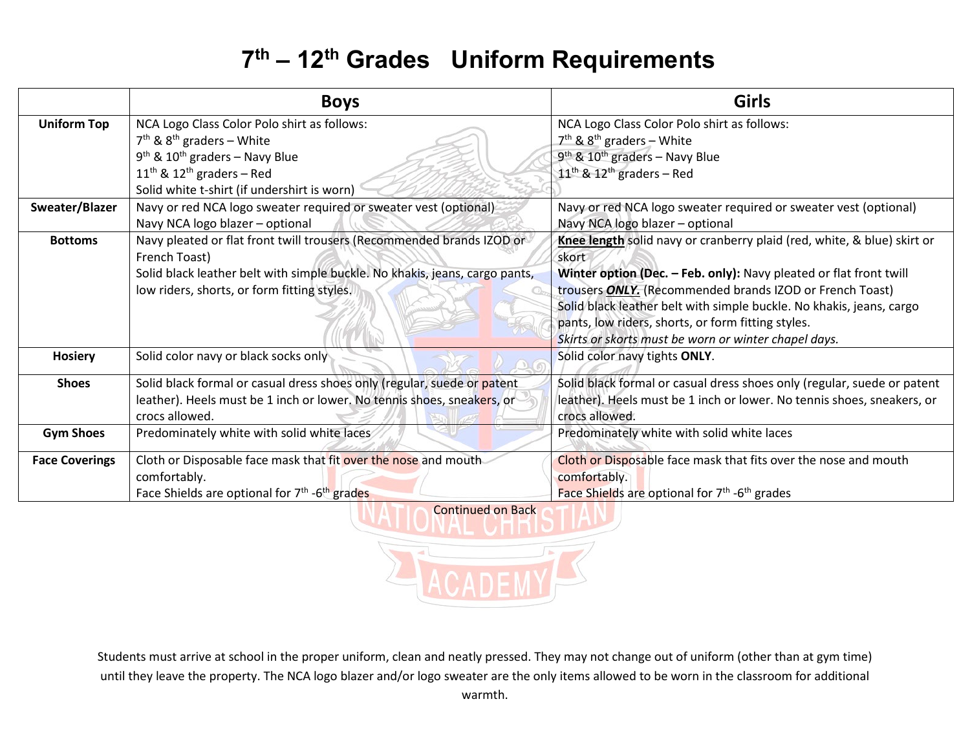## **7th – 12th Grades Uniform Requirements**

|                       | <b>Boys</b>                                                                 | <b>Girls</b>                                                            |
|-----------------------|-----------------------------------------------------------------------------|-------------------------------------------------------------------------|
| <b>Uniform Top</b>    | NCA Logo Class Color Polo shirt as follows:                                 | NCA Logo Class Color Polo shirt as follows:                             |
|                       | $7th$ & $8th$ graders – White                                               | $7th$ & $8th$ graders – White                                           |
|                       | $9th$ & 10 <sup>th</sup> graders – Navy Blue                                | $9th$ & $10th$ graders – Navy Blue                                      |
|                       | $11th$ & $12th$ graders – Red                                               | $11^{\text{th}}$ & $12^{\text{th}}$ graders - Red                       |
|                       | Solid white t-shirt (if undershirt is worn)                                 |                                                                         |
| Sweater/Blazer        | Navy or red NCA logo sweater required or sweater vest (optional)            | Navy or red NCA logo sweater required or sweater vest (optional)        |
|                       | Navy NCA logo blazer - optional                                             | Navy NCA logo blazer - optional                                         |
| <b>Bottoms</b>        | Navy pleated or flat front twill trousers (Recommended brands IZOD or       | Knee length solid navy or cranberry plaid (red, white, & blue) skirt or |
|                       | French Toast)                                                               | skort                                                                   |
|                       | Solid black leather belt with simple buckle. No khakis, jeans, cargo pants, | Winter option (Dec. - Feb. only): Navy pleated or flat front twill      |
|                       | low riders, shorts, or form fitting styles.                                 | trousers <b>ONLY.</b> (Recommended brands IZOD or French Toast)         |
|                       |                                                                             | Solid black leather belt with simple buckle. No khakis, jeans, cargo    |
|                       |                                                                             | pants, low riders, shorts, or form fitting styles.                      |
|                       |                                                                             | Skirts or skorts must be worn or winter chapel days.                    |
| <b>Hosiery</b>        | Solid color navy or black socks only                                        | Solid color navy tights ONLY.                                           |
| <b>Shoes</b>          | Solid black formal or casual dress shoes only (regular, suede or patent     | Solid black formal or casual dress shoes only (regular, suede or patent |
|                       | leather). Heels must be 1 inch or lower. No tennis shoes, sneakers, or      | leather). Heels must be 1 inch or lower. No tennis shoes, sneakers, or  |
|                       | crocs allowed.                                                              | crocs allowed.                                                          |
| <b>Gym Shoes</b>      | Predominately white with solid white laces                                  | Predominately white with solid white laces                              |
| <b>Face Coverings</b> | Cloth or Disposable face mask that fit over the nose and mouth              | Cloth or Disposable face mask that fits over the nose and mouth         |
|                       | comfortably.                                                                | comfortably.                                                            |
|                       | Face Shields are optional for $7th$ -6 <sup>th</sup> grades                 | Face Shields are optional for 7 <sup>th</sup> -6 <sup>th</sup> grades   |
|                       | <b>Continued on Back</b>                                                    |                                                                         |

Students must arrive at school in the proper uniform, clean and neatly pressed. They may not change out of uniform (other than at gym time) until they leave the property. The NCA logo blazer and/or logo sweater are the only items allowed to be worn in the classroom for additional warmth.